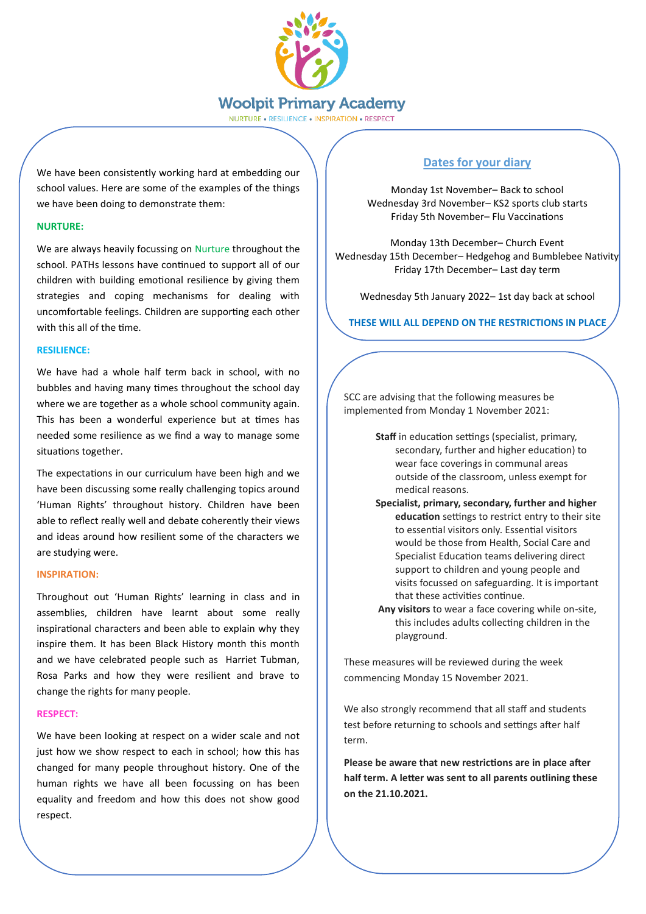

NURTURE . RESILIENCE . INSPIRATION . RESPECT

We have been consistently working hard at embedding our school values. Here are some of the examples of the things we have been doing to demonstrate them:

## **NURTURE:**

We are always heavily focussing on Nurture throughout the school. PATHs lessons have continued to support all of our children with building emotional resilience by giving them strategies and coping mechanisms for dealing with uncomfortable feelings. Children are supporting each other with this all of the time.

#### **RESILIENCE:**

We have had a whole half term back in school, with no bubbles and having many times throughout the school day where we are together as a whole school community again. This has been a wonderful experience but at times has needed some resilience as we find a way to manage some situations together.

The expectations in our curriculum have been high and we have been discussing some really challenging topics around 'Human Rights' throughout history. Children have been able to reflect really well and debate coherently their views and ideas around how resilient some of the characters we are studying were.

#### **INSPIRATION:**

Throughout out 'Human Rights' learning in class and in assemblies, children have learnt about some really inspirational characters and been able to explain why they inspire them. It has been Black History month this month and we have celebrated people such as Harriet Tubman, Rosa Parks and how they were resilient and brave to change the rights for many people.

#### **RESPECT:**

We have been looking at respect on a wider scale and not just how we show respect to each in school; how this has changed for many people throughout history. One of the human rights we have all been focussing on has been equality and freedom and how this does not show good respect.

## **Dates for your diary**

Monday 1st November– Back to school Wednesday 3rd November– KS2 sports club starts Friday 5th November– Flu Vaccinations

Monday 13th December– Church Event Wednesday 15th December– Hedgehog and Bumblebee Nativity Friday 17th December– Last day term

Wednesday 5th January 2022– 1st day back at school

**THESE WILL ALL DEPEND ON THE RESTRICTIONS IN PLACE**

SCC are advising that the following measures be implemented from Monday 1 November 2021:

- **Staff** in education settings (specialist, primary, secondary, further and higher education) to wear face coverings in communal areas outside of the classroom, unless exempt for medical reasons.
- **Specialist, primary, secondary, further and higher education** settings to restrict entry to their site to essential visitors only. Essential visitors would be those from Health, Social Care and Specialist Education teams delivering direct support to children and young people and visits focussed on safeguarding. It is important that these activities continue.
- **Any visitors** to wear a face covering while on-site, this includes adults collecting children in the playground.

These measures will be reviewed during the week commencing Monday 15 November 2021.

We also strongly recommend that all staff and students test before returning to schools and settings after half term.

**Please be aware that new restrictions are in place after half term. A letter was sent to all parents outlining these on the 21.10.2021.**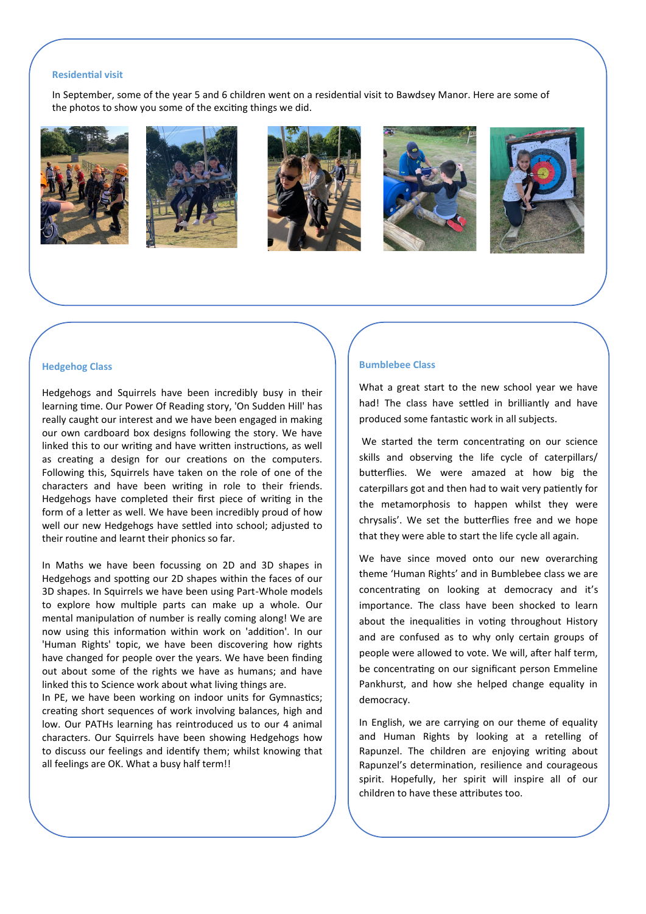#### **Residential visit**

In September, some of the year 5 and 6 children went on a residential visit to Bawdsey Manor. Here are some of the photos to show you some of the exciting things we did.











#### **Hedgehog Class**

Hedgehogs and Squirrels have been incredibly busy in their learning time. Our Power Of Reading story, 'On Sudden Hill' has really caught our interest and we have been engaged in making our own cardboard box designs following the story. We have linked this to our writing and have written instructions, as well as creating a design for our creations on the computers. Following this, Squirrels have taken on the role of one of the characters and have been writing in role to their friends. Hedgehogs have completed their first piece of writing in the form of a letter as well. We have been incredibly proud of how well our new Hedgehogs have settled into school; adjusted to their routine and learnt their phonics so far.

In Maths we have been focussing on 2D and 3D shapes in Hedgehogs and spotting our 2D shapes within the faces of our 3D shapes. In Squirrels we have been using Part-Whole models to explore how multiple parts can make up a whole. Our mental manipulation of number is really coming along! We are now using this information within work on 'addition'. In our 'Human Rights' topic, we have been discovering how rights have changed for people over the years. We have been finding out about some of the rights we have as humans; and have linked this to Science work about what living things are.

In PE, we have been working on indoor units for Gymnastics; creating short sequences of work involving balances, high and low. Our PATHs learning has reintroduced us to our 4 animal characters. Our Squirrels have been showing Hedgehogs how to discuss our feelings and identify them; whilst knowing that all feelings are OK. What a busy half term!!

#### **Bumblebee Class**

What a great start to the new school year we have had! The class have settled in brilliantly and have produced some fantastic work in all subjects.

We started the term concentrating on our science skills and observing the life cycle of caterpillars/ butterflies. We were amazed at how big the caterpillars got and then had to wait very patiently for the metamorphosis to happen whilst they were chrysalis'. We set the butterflies free and we hope that they were able to start the life cycle all again.

We have since moved onto our new overarching theme 'Human Rights' and in Bumblebee class we are concentrating on looking at democracy and it's importance. The class have been shocked to learn about the inequalities in voting throughout History and are confused as to why only certain groups of people were allowed to vote. We will, after half term, be concentrating on our significant person Emmeline Pankhurst, and how she helped change equality in democracy.

In English, we are carrying on our theme of equality and Human Rights by looking at a retelling of Rapunzel. The children are enjoying writing about Rapunzel's determination, resilience and courageous spirit. Hopefully, her spirit will inspire all of our children to have these attributes too.